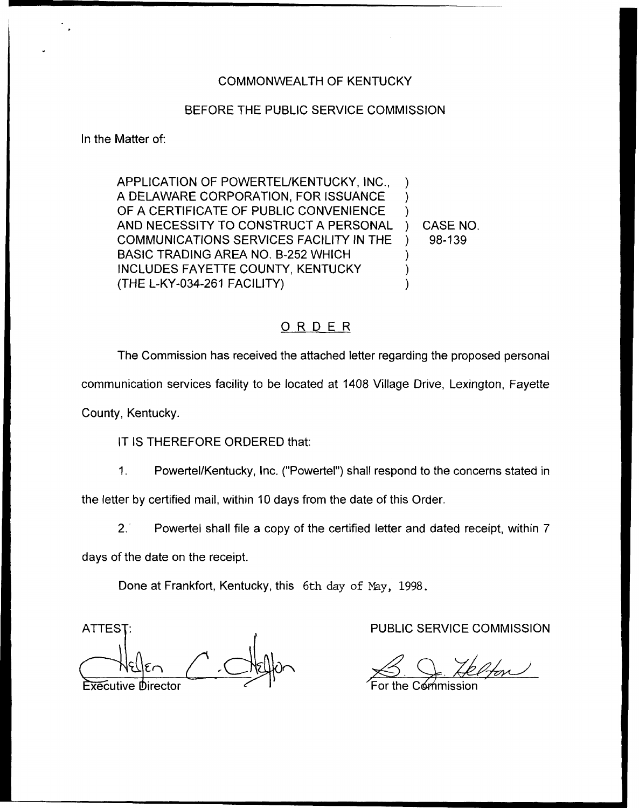## COMMONWEALTH OF KENTUCKY

## BEFORE THE PUBLIC SERVICE COMMISSION

In the Matter of:

APPLICATION OF POWERTEL/KENTUCKY, INC., A DELAWARE CORPORATION, FOR ISSUANCE OF A CERTIFICATE OF PUBLIC CONVENIENCE AND NECESSITY TO CONSTRUCT A PERSONAL COMMUNICATIONS SERVICES FACILITY IN THE BASIC TRADING AREA NO. B-252 WHICH INCLUDES FAYETTE COUNTY, KENTUCKY (THE L-KY-034-261 FACILITY) ) ) ) ) CASE NO. ) 98-139 ) ) )

## ORDER

The Commission has received the attached letter regarding the proposed personal

communication services facility to be located at 1408 Village Drive, Lexington, Fayette

County, Kentucky.

IT IS THEREFORE ORDERED that:

Powertel/Kentucky, Inc. ("Powertel") shall respond to the concerns stated in  $1<sub>1</sub>$ 

the letter by certified mail, within 10 days from the date of this Order.

2. Powertel shall file a copy of the certified letter and dated receipt, within 7

days of the date on the receipt.

Done at Frankfort, Kentucky, this 6th day of Nay, 1998.

ATTES<sub>1</sub> Executive Director

PUBLIC SERVICE COMMISSION

For the Commissio